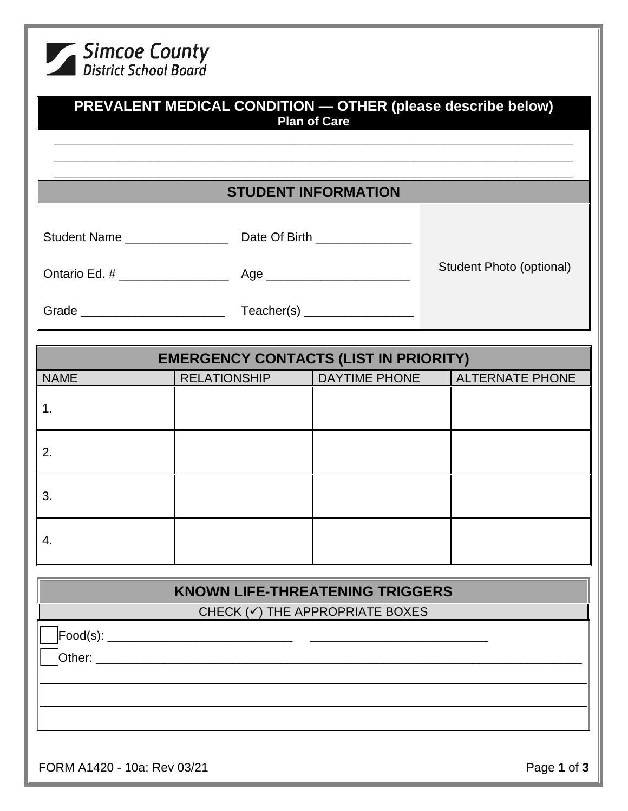| Simcoe County<br>District School Board |                                              |                                        |                                                             |
|----------------------------------------|----------------------------------------------|----------------------------------------|-------------------------------------------------------------|
|                                        |                                              | <b>Plan of Care</b>                    | PREVALENT MEDICAL CONDITION - OTHER (please describe below) |
|                                        |                                              | <b>STUDENT INFORMATION</b>             |                                                             |
|                                        |                                              |                                        |                                                             |
|                                        |                                              |                                        | Student Photo (optional)                                    |
|                                        |                                              |                                        |                                                             |
|                                        | <b>EMERGENCY CONTACTS (LIST IN PRIORITY)</b> |                                        |                                                             |
| <b>NAME</b>                            | <b>RELATIONSHIP</b>                          | <b>DAYTIME PHONE</b>                   | <b>ALTERNATE PHONE</b>                                      |
| 1.                                     |                                              |                                        |                                                             |
| 2.                                     |                                              |                                        |                                                             |
| 3.                                     |                                              |                                        |                                                             |
| 4.                                     |                                              |                                        |                                                             |
|                                        |                                              | <b>KNOWN LIFE-THREATENING TRIGGERS</b> |                                                             |
|                                        |                                              | CHECK (v) THE APPROPRIATE BOXES        |                                                             |
|                                        |                                              |                                        |                                                             |

FORM A1420 - 10a; Rev 03/21 **Page 1** of **3**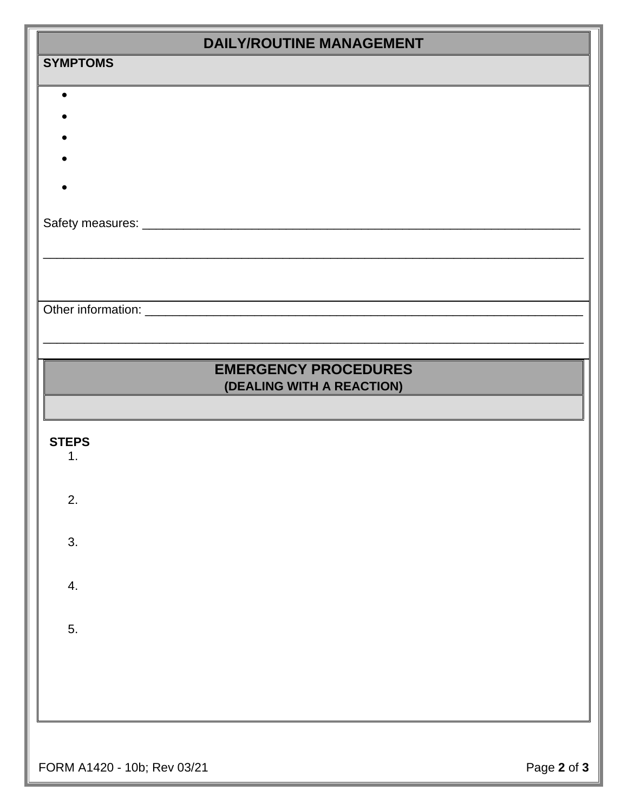| <b>DAILY/ROUTINE MANAGEMENT</b> |                             |  |  |
|---------------------------------|-----------------------------|--|--|
| <b>SYMPTOMS</b>                 |                             |  |  |
|                                 |                             |  |  |
|                                 |                             |  |  |
|                                 |                             |  |  |
|                                 |                             |  |  |
|                                 |                             |  |  |
|                                 |                             |  |  |
|                                 |                             |  |  |
|                                 |                             |  |  |
|                                 |                             |  |  |
|                                 | <b>EMERGENCY PROCEDURES</b> |  |  |
|                                 | (DEALING WITH A REACTION)   |  |  |
|                                 |                             |  |  |
| <b>STEPS</b>                    |                             |  |  |
| 1.                              |                             |  |  |
| 2.                              |                             |  |  |
|                                 |                             |  |  |
| 3.                              |                             |  |  |
|                                 |                             |  |  |
| 4.                              |                             |  |  |
|                                 |                             |  |  |
| 5.                              |                             |  |  |
|                                 |                             |  |  |
|                                 |                             |  |  |
|                                 |                             |  |  |
|                                 |                             |  |  |

FORM A1420 - 10b; Rev 03/21 **Page 2** of **3**